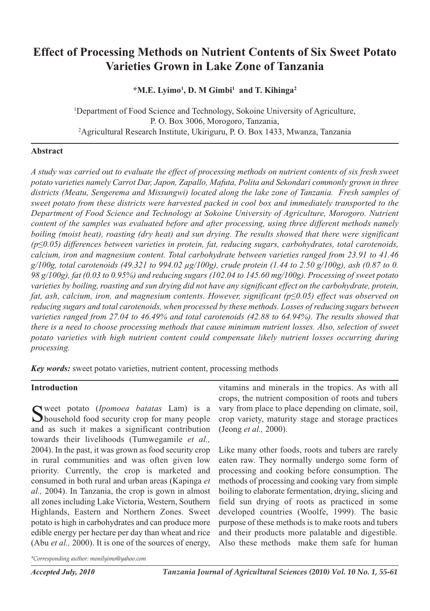# **Effect of Processing Methods on Nutrient Contents of Six Sweet Potato Varieties Grown in Lake Zone of Tanzania**

**\*M.E. Lyimo1 , D. M Gimbi <sup>1</sup> and T. Kihinga2**

<sup>1</sup>Department of Food Science and Technology, Sokoine University of Agriculture, P. O. Box 3006, Morogoro, Tanzania, 2 Agricultural Research Institute, Ukiriguru, P. O. Box 1433, Mwanza, Tanzania

#### **Abstract**

A study was carried out to evaluate the effect of processing methods on nutrient contents of six fresh sweet *potato varieties namely Carrot Dar, Japon, Zapallo, Mafuta, Polita and Sekondari commonly grown in three districts (Meatu, Sengerema and Missungwi) located along the lake zone of Tanzania. Fresh samples of sweet potato from these districts were harvested packed in cool box and immediately transported to the Department of Food Science and Technology at Sokoine University of Agriculture, Morogoro. Nutrient content of the samples was evaluated before and after processing, using three different methods namely boiling (moist heat), roasting (dry heat) and sun drying. The results showed that there were significant (p≤0.05) differences between varieties in protein, fat, reducing sugars, carbohydrates, total carotenoids, calcium, iron and magnesium content. Total carbohydrate between varieties ranged from 23.91 to 41.46*  $g/100g$ , total carotenoids (49.321 to 994.02  $\mu$ g/100g), crude protein (1.44 to 2.50 g/100g), ash (0.87 to 0. 98  $g/100g$ ), fat (0.03 to 0.95%) and reducing sugars (102.04 to 145.60 mg/100g). Processing of sweet potato varieties by boiling, roasting and sun drying did not have any significant effect on the carbohydrate, protein, *fat, ash, calcium, iron, and magnesium contents. However, significant (p≤0.05) effect was observed on reducing sugars and total carotenoids, when processed by these methods. Losses of reducing sugars between varieties ranged from 27.04 to 46.49% and total carotenoids (42.88 to 64.94%). The results showed that there is a need to choose processing methods that cause minimum nutrient losses. Also, selection of sweet potato varieties with high nutrient content could compensate likely nutrient losses occurring during processing.*

*Key words:* sweet potato varieties, nutrient content, processing methods

## **Introduction**

Sweet potato (*Ipomoea batatas* Lam) is a household food security crop for many people and as such it makes a significant contribution towards their livelihoods (Tumwegamile *et al.,* 2004). In the past, it was grown as food security crop in rural communities and was often given low priority. Currently, the crop is marketed and consumed in both rural and urban areas (Kapinga *et al.,* 2004). In Tanzania, the crop is gown in almost all zones including Lake Victoria, Western, Southern Highlands, Eastern and Northern Zones. Sweet potato is high in carbohydrates and can produce more edible energy per hectare per day than wheat and rice (Abu *et al.,* 2000). It is one of the sources of energy,

vitamins and minerals in the tropics. As with all crops, the nutrient composition of roots and tubers vary from place to place depending on climate, soil, crop variety, maturity stage and storage practices (Jeong *et al.,* 2000).

Like many other foods, roots and tubers are rarely eaten raw. They normally undergo some form of processing and cooking before consumption. The methods of processing and cooking vary from simple boiling to elaborate fermentation, drying, slicing and field sun drying of roots as practiced in some developed countries (Woolfe, 1999). The basic purpose of these methods is to make roots and tubers and their products more palatable and digestible. Also these methods make them safe for human

*\*Corresponding author: monilyimo@yahoo.com*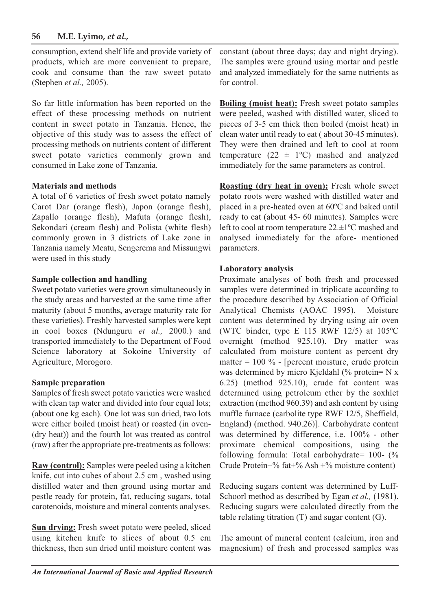## **56 M.E. Lyimo,** *et al.,*

consumption, extend shelf life and provide variety of products, which are more convenient to prepare, cook and consume than the raw sweet potato (Stephen *et al.,* 2005).

So far little information has been reported on the effect of these processing methods on nutrient content in sweet potato in Tanzania. Hence, the objective of this study was to assess the effect of processing methods on nutrients content of different sweet potato varieties commonly grown and consumed in Lake zone of Tanzania.

#### **Materials and methods**

A total of 6 varieties of fresh sweet potato namely Carot Dar (orange flesh), Japon (orange flesh), Zapallo (orange flesh), Mafuta (orange flesh), Sekondari (cream flesh) and Polista (white flesh) commonly grown in 3 districts of Lake zone in Tanzania namely Meatu, Sengerema and Missungwi were used in this study

#### **Sample collection and handling**

Sweet potato varieties were grown simultaneously in the study areas and harvested at the same time after maturity (about 5 months, average maturity rate for these varieties). Freshly harvested samples were kept in cool boxes (Ndunguru *et al.,* 2000.) and transported immediately to the Department of Food Science laboratory at Sokoine University of Agriculture, Morogoro.

## **Sample preparation**

Samples of fresh sweet potato varieties were washed with clean tap water and divided into four equal lots; (about one kg each). One lot was sun dried, two lots were either boiled (moist heat) or roasted (in oven- (dry heat)) and the fourth lot was treated as control (raw) after the appropriate pre-treatments as follows:

**Raw (control):** Samples were peeled using a kitchen knife, cut into cubes of about 2.5 cm , washed using distilled water and then ground using mortar and pestle ready for protein, fat, reducing sugars, total carotenoids, moisture and mineral contents analyses.

**Sun drying:** Fresh sweet potato were peeled, sliced using kitchen knife to slices of about 0.5 cm thickness, then sun dried until moisture content was constant (about three days; day and night drying). The samples were ground using mortar and pestle and analyzed immediately for the same nutrients as for control.

**Boiling (moist heat):** Fresh sweet potato samples were peeled, washed with distilled water, sliced to pieces of 3-5 cm thick then boiled (moist heat) in clean water until ready to eat ( about 30-45 minutes). They were then drained and left to cool at room temperature  $(22 \pm 1^{\circ}C)$  mashed and analyzed immediately for the same parameters as control.

**Roasting (dry heat in oven):** Fresh whole sweet potato roots were washed with distilled water and placed in a pre-heated oven at 60ºC and baked until ready to eat (about 45- 60 minutes). Samples were left to cool at room temperature 22.±1ºC mashed and analysed immediately for the afore- mentioned parameters.

#### **Laboratory analysis**

Proximate analyses of both fresh and processed samples were determined in triplicate according to the procedure described by Association of Official Analytical Chemists (AOAC 1995). Moisture content was determined by drying using air oven (WTC binder, type E 115 RWF 12/5) at 105ºC overnight (method 925.10). Dry matter was calculated from moisture content as percent dry matter =  $100\%$  - [percent moisture, crude protein was determined by micro Kjeldahl (% protein= N x 6.25) (method 925.10), crude fat content was determined using petroleum ether by the soxhlet extraction (method 960.39) and ash content by using muffle furnace (carbolite type RWF 12/5, Sheffield, England) (method. 940.26)]. Carbohydrate content was determined by difference, i.e. 100% - other proximate chemical compositions, using the following formula: Total carbohydrate= 100- (% Crude Protein+% fat+% Ash +% moisture content)

Reducing sugars content was determined by Luff-Schoorl method as described by Egan *et al.,* (1981). Reducing sugars were calculated directly from the table relating titration (T) and sugar content (G).

The amount of mineral content (calcium, iron and magnesium) of fresh and processed samples was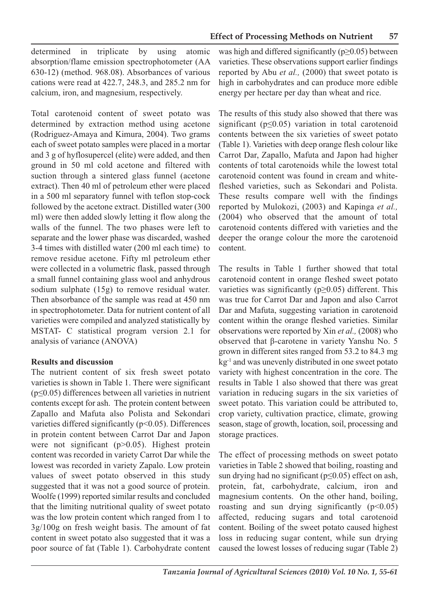determined in triplicate by using atomic absorption/flame emission spectrophotometer (AA 630-12) (method. 968.08). Absorbances of various cations were read at 422.7, 248.3, and 285.2 nm for calcium, iron, and magnesium, respectively.

Total carotenoid content of sweet potato was determined by extraction method using acetone (Rodriguez-Amaya and Kimura, 2004). Two grams each of sweet potato samples were placed in a mortar and 3 g of hyflosupercel (elite) were added, and then ground in 50 ml cold acetone and filtered with suction through a sintered glass funnel (acetone extract). Then 40 ml of petroleum ether were placed in a 500 ml separatory funnel with teflon stop-cock followed by the acetone extract. Distilled water (300 ml) were then added slowly letting it flow along the walls of the funnel. The two phases were left to separate and the lower phase was discarded, washed 3-4 times with distilled water (200 ml each time) to remove residue acetone. Fifty ml petroleum ether were collected in a volumetric flask, passed through a small funnel containing glass wool and anhydrous sodium sulphate (15g) to remove residual water. Then absorbance of the sample was read at 450 nm in spectrophotometer. Data for nutrient content of all varieties were compiled and analyzed statistically by MSTAT- C statistical program version 2.1 for analysis of variance (ANOVA)

#### **Results and discussion**

The nutrient content of six fresh sweet potato varieties is shown in Table 1. There were significant  $(p \le 0.05)$  differences between all varieties in nutrient contents except for ash. The protein content between Zapallo and Mafuta also Polista and Sekondari varieties differed significantly (p<0.05). Differences in protein content between Carrot Dar and Japon were not significant (p>0.05). Highest protein content was recorded in variety Carrot Dar while the lowest was recorded in variety Zapalo. Low protein values of sweet potato observed in this study suggested that it was not a good source of protein. Woolfe (1999) reported similar results and concluded that the limiting nutritional quality of sweet potato was the low protein content which ranged from 1 to 3g/100g on fresh weight basis. The amount of fat content in sweet potato also suggested that it was a poor source of fat (Table 1). Carbohydrate content

was high and differed significantly ( $p \ge 0.05$ ) between varieties. These observations support earlier findings reported by Abu *et al.,* (2000) that sweet potato is high in carbohydrates and can produce more edible energy per hectare per day than wheat and rice.

The results of this study also showed that there was significant ( $p \leq 0.05$ ) variation in total carotenoid contents between the six varieties of sweet potato (Table 1). Varieties with deep orange flesh colour like Carrot Dar, Zapallo, Mafuta and Japon had higher contents of total carotenoids while the lowest total carotenoid content was found in cream and whitefleshed varieties, such as Sekondari and Polista. These results compare well with the findings reported by Mulokozi, (2003) and Kapinga *et al.,* (2004) who observed that the amount of total carotenoid contents differed with varieties and the deeper the orange colour the more the carotenoid content.

The results in Table 1 further showed that total carotenoid content in orange fleshed sweet potato varieties was significantly ( $p \ge 0.05$ ) different. This was true for Carrot Dar and Japon and also Carrot Dar and Mafuta, suggesting variation in carotenoid content within the orange fleshed varieties. Similar observations were reported by Xin *et al.,* (2008) who observed that β-carotene in variety Yanshu No. 5 grown in different sites ranged from 53.2 to 84.3 mg kg-1 and was unevenly distributed in one sweet potato variety with highest concentration in the core. The results in Table 1 also showed that there was great variation in reducing sugars in the six varieties of sweet potato. This variation could be attributed to, crop variety, cultivation practice, climate, growing season, stage of growth, location, soil, processing and storage practices.

The effect of processing methods on sweet potato varieties in Table 2 showed that boiling, roasting and sun drying had no significant ( $p \le 0.05$ ) effect on ash, protein, fat, carbohydrate, calcium, iron and magnesium contents. On the other hand, boiling, roasting and sun drying significantly  $(p<0.05)$ affected, reducing sugars and total carotenoid content. Boiling of the sweet potato caused highest loss in reducing sugar content, while sun drying caused the lowest losses of reducing sugar (Table 2)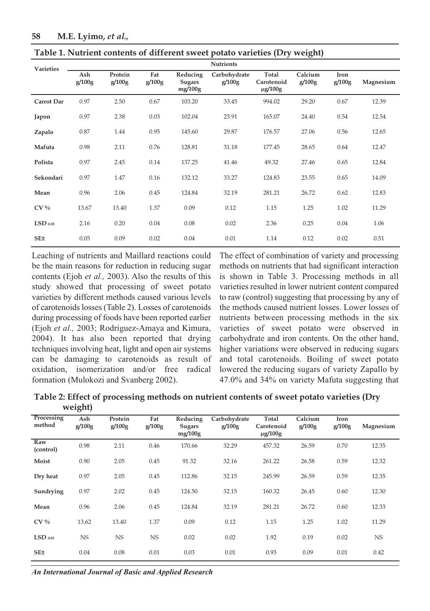| <b>Varieties</b>      | <b>Nutrients</b> |                   |               |                               |                        |                                     |                   |                |           |
|-----------------------|------------------|-------------------|---------------|-------------------------------|------------------------|-------------------------------------|-------------------|----------------|-----------|
|                       | Ash<br>g/100g    | Protein<br>g/100g | Fat<br>g/100g | Reducing<br>Sugars<br>mg/100g | Carbohydrate<br>g/100g | Total<br>Carotenoid<br>$\mu$ g/100g | Calcium<br>g/100g | Iron<br>g/100g | Magnesium |
| Carrot Dar            | 0.97             | 2.50              | 0.67          | 103.20                        | 33.45                  | 994.02                              | 29.20             | 0.67           | 12.39     |
| Japon                 | 0.97             | 2.38              | 0.03          | 102.04                        | 23.91                  | 165.07                              | 24.40             | 0.54           | 12.54     |
| Zapalo                | 0.87             | 1.44              | 0.95          | 145.60                        | 29.87                  | 176.57                              | 27.06             | 0.56           | 12.65     |
| Mafuta                | 0.98             | 2.11              | 0.76          | 128.81                        | 31.18                  | 177.45                              | 28.65             | 0.64           | 12.47     |
| Polista               | 0.97             | 2.45              | 0.14          | 137.25                        | 41.46                  | 49.32                               | 27.46             | 0.65           | 12.84     |
| Sekondari             | 0.97             | 1.47              | 0.16          | 132.12                        | 33.27                  | 124.83                              | 23.55             | 0.65           | 14.09     |
| Mean                  | 0.96             | 2.06              | 0.45          | 124.84                        | 32.19                  | 281.21                              | 26.72             | 0.62           | 12.83     |
| $CV\%$                | 13.67            | 13.40             | 1.37          | 0.09                          | 0.12                   | 1.15                                | 1.25              | 1.02           | 11.29     |
| $LSD$ <sub>0.05</sub> | 2.16             | 0.20              | 0.04          | 0.08                          | 0.02                   | 2.36                                | 0.25              | 0.04           | 1.06      |
| SE±                   | 0.05             | 0.09              | 0.02          | 0.04                          | 0.01                   | 1.14                                | 0.12              | 0.02           | 0.51      |

**Table 1. Nutrient contents of different sweet potato varieties (Dry weight)**

Leaching of nutrients and Maillard reactions could be the main reasons for reduction in reducing sugar contents (Ejoh *et al.,* 2003). Also the results of this study showed that processing of sweet potato varieties by different methods caused various levels of carotenoids losses (Table 2). Losses of carotenoids during processing of foods have been reported earlier (Ejoh *et al.,* 2003; Rodriguez-Amaya and Kimura, 2004). It has also been reported that drying techniques involving heat, light and open air systems can be damaging to carotenoids as result of oxidation, isomerization and/or free radical formation (Mulokozi and Svanberg 2002).

The effect of combination of variety and processing methods on nutrients that had significant interaction is shown in Table 3. Processing methods in all varieties resulted in lower nutrient content compared to raw (control) suggesting that processing by any of the methods caused nutrient losses. Lower losses of nutrients between processing methods in the six varieties of sweet potato were observed in carbohydrate and iron contents. On the other hand, higher variations were observed in reducing sugars and total carotenoids. Boiling of sweet potato lowered the reducing sugars of variety Zapallo by 47.0% and 34% on variety Mafuta suggesting that

**Table 2: Effect of processing methods on nutrient contents of sweet potato varieties (Dry weight)**

| Processing<br>method | Ash<br>g/100g | Protein<br>g/100g | Fat<br>g/100g | Reducing<br>Sugars<br>mg/100g | Carbohydrate<br>g/100g | Total<br>Carotenoid<br>$\mu$ g/100g | Calcium<br>g/100g | Iron<br>g/100g | Magnesium |
|----------------------|---------------|-------------------|---------------|-------------------------------|------------------------|-------------------------------------|-------------------|----------------|-----------|
| Raw<br>(control)     | 0.98          | 2.11              | 0.46          | 170.66                        | 32.29                  | 457.32                              | 26.59             | 0.70           | 12.35     |
| Moist                | 0.90          | 2.05              | 0.45          | 91.32                         | 32.16                  | 261.22                              | 26.58             | 0.59           | 12.32     |
| Dry heat             | 0.97          | 2.05              | 0.45          | 112.86                        | 32.15                  | 245.99                              | 26.59             | 0.59           | 12.35     |
| Sundrying            | 0.97          | 2.02              | 0.45          | 124.50                        | 32.15                  | 160.32                              | 26.45             | 0.60           | 12.30     |
| Mean                 | 0.96          | 2.06              | 0.45          | 124.84                        | 32.19                  | 281.21                              | 26.72             | 0.60           | 12.33     |
| $CV\%$               | 13.62         | 13.40             | 1.37          | 0.09                          | 0.12                   | 1.15                                | 1.25              | 1.02           | 11.29     |
| $LSD$ 0.05           | NS            | <b>NS</b>         | NS            | 0.02                          | 0.02                   | 1.92                                | 0.19              | 0.02           | NS.       |
| SE±                  | 0.04          | 0.08              | 0.01          | 0.03                          | 0.01                   | 0.93                                | 0.09              | 0.01           | 0.42      |

*An International Journal of Basic and Applied Research*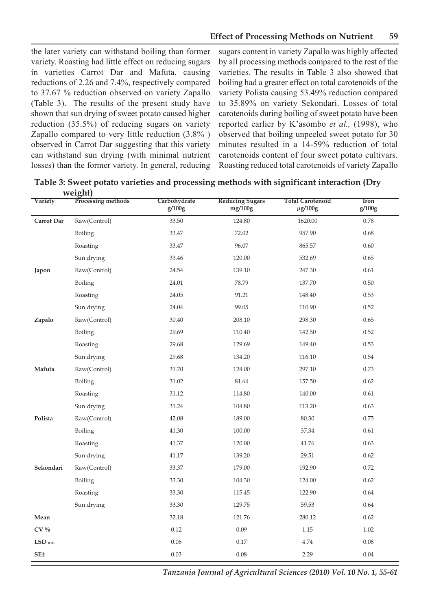the later variety can withstand boiling than former variety. Roasting had little effect on reducing sugars in varieties Carrot Dar and Mafuta, causing reductions of 2.26 and 7.4%, respectively compared to 37.67 % reduction observed on variety Zapallo (Table 3). The results of the present study have shown that sun drying of sweet potato caused higher reduction (35.5%) of reducing sugars on variety Zapallo compared to very little reduction (3.8% ) observed in Carrot Dar suggesting that this variety can withstand sun drying (with minimal nutrient losses) than the former variety. In general, reducing

sugars content in variety Zapallo was highly affected by all processing methods compared to the rest of the varieties. The results in Table 3 also showed that boiling had a greater effect on total carotenoids of the variety Polista causing 53.49% reduction compared to 35.89% on variety Sekondari. Losses of total carotenoids during boiling of sweet potato have been reported earlier by K'asombo *et al.,* (1998), who observed that boiling unpeeled sweet potato for 30 minutes resulted in a 14-59% reduction of total carotenoids content of four sweet potato cultivars. Roasting reduced total carotenoids of variety Zapallo

**Table 3: Sweet potato varieties and processing methods with significant interaction (Dry weight)**

| Variety         | Processing methods | Carbohydrate<br>g/100g | <b>Reducing Sugars</b><br>mg/100g | <b>Total Carotenoid</b><br>$\mu$ g/100g | Iron<br>g/100g |
|-----------------|--------------------|------------------------|-----------------------------------|-----------------------------------------|----------------|
| Carrot Dar      | Raw(Control)       | 33.50                  | 124.80                            | 1620.00                                 | 0.78           |
|                 | Boiling            | 33.47                  | 72.02                             | 957.90                                  | 0.68           |
|                 | Roasting           | 33.47                  | 96.07                             | 865.57                                  | 0.60           |
|                 | Sun drying         | 33.46                  | 120.00                            | 532.69                                  | 0.65           |
| Japon           | Raw(Control)       | 24.54                  | 139.10                            | 247.30                                  | 0.61           |
|                 | Boiling            | 24.01                  | 78.79                             | 137.70                                  | 0.50           |
|                 | Roasting           | 24.05                  | 91.21                             | 148.40                                  | 0.53           |
|                 | Sun drying         | 24.04                  | 99.05                             | 110.90                                  | 0.52           |
| Zapalo          | Raw(Control)       | 30.40                  | 208.10                            | 298.30                                  | 0.65           |
|                 | Boiling            | 29.69                  | 110.40                            | 142.50                                  | 0.52           |
|                 | Roasting           | 29.68                  | 129.69                            | 149.40                                  | 0.53           |
|                 | Sun drying         | 29.68                  | 134.20                            | 116.10                                  | 0.54           |
| Mafuta          | Raw(Control)       | 31.70                  | 124.00                            | 297.10                                  | 0.73           |
|                 | Boiling            | 31.02                  | 81.64                             | 157.50                                  | 0.62           |
|                 | Roasting           | 31.12                  | 114.80                            | 140.00                                  | 0.61           |
|                 | Sun drying         | 31.24                  | 104.80                            | 113.20                                  | 0.63           |
| Polista         | Raw(Control)       | 42.08                  | 189.00                            | 80.30                                   | 0.75           |
|                 | Boiling            | 41.30                  | 100.00                            | 37.34                                   | 0.61           |
|                 | Roasting           | 41.37                  | 120.00                            | 41.76                                   | 0.63           |
|                 | Sun drying         | 41.17                  | 139.20                            | 29.51                                   | 0.62           |
| Sekondari       | Raw(Control)       | 33.37                  | 179.00                            | 192.90                                  | 0.72           |
|                 | Boiling            | 33.30                  | 104.30                            | 124.00                                  | 0.62           |
|                 | Roasting           | 33.30                  | 115.45                            | 122.90                                  | 0.64           |
|                 | Sun drying         | 33.30                  | 129.75                            | 59.53                                   | 0.64           |
| Mean            |                    | 32.18                  | 121.76                            | 280.12                                  | 0.62           |
| $CV\%$          |                    | 0.12                   | 0.09                              | 1.15                                    | 1.02           |
| $LSD$ 0.05      |                    | 0.06                   | 0.17                              | 4.74                                    | 0.08           |
| SE <sub>±</sub> |                    | 0.03                   | 0.08                              | 2.29                                    | 0.04           |

*Tanzania Journal of Agricultural Sciences (2010) Vol. 10 No. 1, 55-61*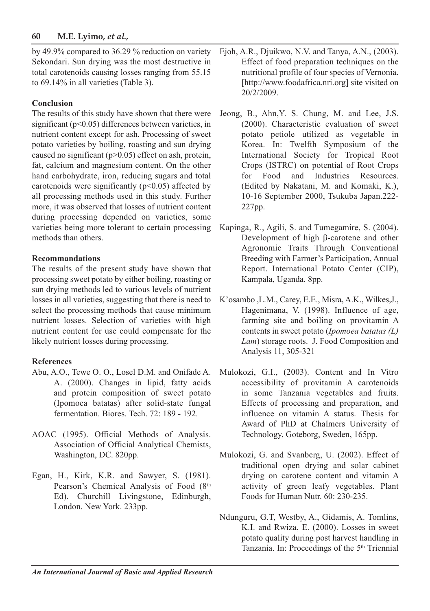## **60 M.E. Lyimo,** *et al.,*

by 49.9% compared to 36.29 % reduction on variety Sekondari. Sun drying was the most destructive in total carotenoids causing losses ranging from 55.15 to 69.14% in all varieties (Table 3).

## **Conclusion**

The results of this study have shown that there were significant (p<0.05) differences between varieties, in nutrient content except for ash. Processing of sweet potato varieties by boiling, roasting and sun drying caused no significant  $(p>0.05)$  effect on ash, protein, fat, calcium and magnesium content. On the other hand carbohydrate, iron, reducing sugars and total carotenoids were significantly  $(p<0.05)$  affected by all processing methods used in this study. Further more, it was observed that losses of nutrient content during processing depended on varieties, some varieties being more tolerant to certain processing methods than others.

## **Recommandations**

The results of the present study have shown that processing sweet potato by either boiling, roasting or sun drying methods led to various levels of nutrient losses in all varieties, suggesting that there is need to select the processing methods that cause minimum nutrient losses. Selection of varieties with high nutrient content for use could compensate for the likely nutrient losses during processing.

## **References**

- Abu, A.O., Tewe O. O., Losel D.M. and Onifade A. A. (2000). Changes in lipid, fatty acids and protein composition of sweet potato (Ipomoea batatas) after solid-state fungal fermentation. Biores. Tech. 72: 189 - 192.
- AOAC (1995). Official Methods of Analysis. Association of Official Analytical Chemists, Washington, DC. 820pp.
- Egan, H., Kirk, K.R. and Sawyer, S. (1981). Pearson's Chemical Analysis of Food (8th Ed). Churchill Livingstone, Edinburgh, London. New York. 233pp.
- Ejoh, A.R., Djuikwo, N.V. and Tanya, A.N., (2003). Effect of food preparation techniques on the nutritional profile of four species of Vernonia. [http://www.foodafrica.nri.org] site visited on 20/2/2009.
- Jeong, B., Ahn,Y. S. Chung, M. and Lee, J.S. (2000). Characteristic evaluation of sweet potato petiole utilized as vegetable in Korea. In: Twelfth Symposium of the International Society for Tropical Root Crops (ISTRC) on potential of Root Crops for Food and Industries Resources. (Edited by Nakatani, M. and Komaki, K.), 10-16 September 2000, Tsukuba Japan.222- 227pp.
- Kapinga, R., Agili, S. and Tumegamire, S. (2004). Development of high β-carotene and other Agronomic Traits Through Conventional Breeding with Farmer's Participation, Annual Report. International Potato Center (CIP), Kampala, Uganda. 8pp.
- K'osambo ,L.M., Carey, E.E., Misra, A.K., Wilkes,J., Hagenimana, V. (1998). Influence of age, farming site and boiling on provitamin A contents in sweet potato (*Ipomoea batatas (L) Lam*) storage roots. J. Food Composition and Analysis 11, 305-321
- Mulokozi, G.I., (2003). Content and In Vitro accessibility of provitamin A carotenoids in some Tanzania vegetables and fruits. Effects of processing and preparation, and influence on vitamin A status. Thesis for Award of PhD at Chalmers University of Technology, Goteborg, Sweden, 165pp.
- Mulokozi, G. and Svanberg, U. (2002). Effect of traditional open drying and solar cabinet drying on carotene content and vitamin A activity of green leafy vegetables. Plant Foods for Human Nutr. 60: 230-235.
- Ndunguru, G.T, Westby, A., Gidamis, A. Tomlins, K.I. and Rwiza, E. (2000). Losses in sweet potato quality during post harvest handling in Tanzania. In: Proceedings of the 5th Triennial